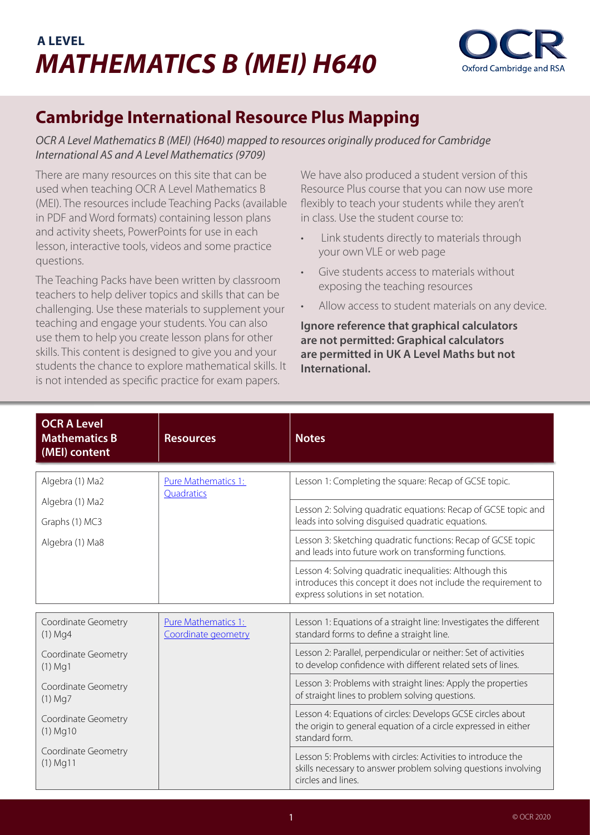## **A LEVEL** *MATHEMATICS B (MEI) H640*



## **Cambridge International Resource Plus Mapping**

*OCR A Level Mathematics B (MEI) (H640) mapped to resources originally produced for Cambridge International AS and A Level Mathematics (9709)*

There are many resources on this site that can be used when teaching OCR A Level Mathematics B (MEI). The resources include Teaching Packs (available in PDF and Word formats) containing lesson plans and activity sheets, PowerPoints for use in each lesson, interactive tools, videos and some practice questions.

The Teaching Packs have been written by classroom teachers to help deliver topics and skills that can be challenging. Use these materials to supplement your teaching and engage your students. You can also use them to help you create lesson plans for other skills. This content is designed to give you and your students the chance to explore mathematical skills. It is not intended as specific practice for exam papers.

We have also produced a student version of this Resource Plus course that you can now use more flexibly to teach your students while they aren't in class. Use the student course to:

- Link students directly to materials through your own VLE or web page
- Give students access to materials without exposing the teaching resources
- Allow access to student materials on any device.

**Ignore reference that graphical calculators are not permitted: Graphical calculators are permitted in UK A Level Maths but not International.**

| <b>OCR A Level</b><br><b>Mathematics B</b><br>(MEI) content | <b>Resources</b>                           | <b>Notes</b>                                                                                                                                                    |
|-------------------------------------------------------------|--------------------------------------------|-----------------------------------------------------------------------------------------------------------------------------------------------------------------|
| Algebra (1) Ma2                                             | Pure Mathematics 1:                        | Lesson 1: Completing the square: Recap of GCSE topic.                                                                                                           |
|                                                             | Quadratics                                 |                                                                                                                                                                 |
| Algebra (1) Ma2                                             |                                            | Lesson 2: Solving quadratic equations: Recap of GCSE topic and                                                                                                  |
| Graphs (1) MC3                                              |                                            | leads into solving disguised quadratic equations.                                                                                                               |
| Algebra (1) Ma8                                             |                                            | Lesson 3: Sketching quadratic functions: Recap of GCSE topic<br>and leads into future work on transforming functions.                                           |
|                                                             |                                            | Lesson 4: Solving quadratic inequalities: Although this<br>introduces this concept it does not include the requirement to<br>express solutions in set notation. |
|                                                             |                                            |                                                                                                                                                                 |
| Coordinate Geometry<br>$(1)$ Mg4                            | Pure Mathematics 1:<br>Coordinate geometry | Lesson 1: Equations of a straight line: Investigates the different<br>standard forms to define a straight line.                                                 |
| Coordinate Geometry<br>$(1)$ Mg1                            |                                            | Lesson 2: Parallel, perpendicular or neither: Set of activities<br>to develop confidence with different related sets of lines.                                  |
| Coordinate Geometry<br>$(1)$ Mg7                            |                                            | Lesson 3: Problems with straight lines: Apply the properties<br>of straight lines to problem solving questions.                                                 |
| Coordinate Geometry<br>$(1)$ Mg10                           |                                            | Lesson 4: Equations of circles: Develops GCSE circles about<br>the origin to general equation of a circle expressed in either<br>standard form.                 |
| Coordinate Geometry<br>$(1)$ Mg11                           |                                            | Lesson 5: Problems with circles: Activities to introduce the<br>skills necessary to answer problem solving questions involving<br>circles and lines.            |